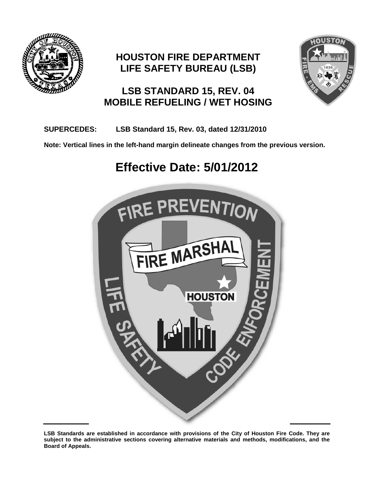

# **HOUSTON FIRE DEPARTMENT LIFE SAFETY BUREAU (LSB)**



# **LSB STANDARD 15, REV. 04 MOBILE REFUELING / WET HOSING**

# **SUPERCEDES: LSB Standard 15, Rev. 03, dated 12/31/2010**

**Note: Vertical lines in the left-hand margin delineate changes from the previous version.**

# **Effective Date: 5/01/2012**



**LSB Standards are established in accordance with provisions of the City of Houston Fire Code. They are subject to the administrative sections covering alternative materials and methods, modifications, and the Board of Appeals.**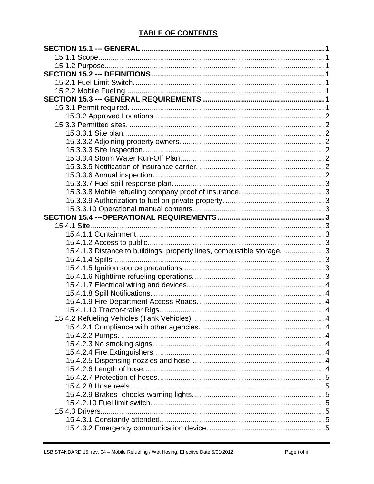# **TABLE OF CONTENTS**

| 15.4.1.3 Distance to buildings, property lines, combustible storage.  3 |  |
|-------------------------------------------------------------------------|--|
|                                                                         |  |
|                                                                         |  |
|                                                                         |  |
|                                                                         |  |
|                                                                         |  |
|                                                                         |  |
|                                                                         |  |
|                                                                         |  |
|                                                                         |  |
| 15.4.2.2 Pumps                                                          |  |
|                                                                         |  |
|                                                                         |  |
|                                                                         |  |
|                                                                         |  |
|                                                                         |  |
|                                                                         |  |
|                                                                         |  |
|                                                                         |  |
|                                                                         |  |
|                                                                         |  |
|                                                                         |  |
|                                                                         |  |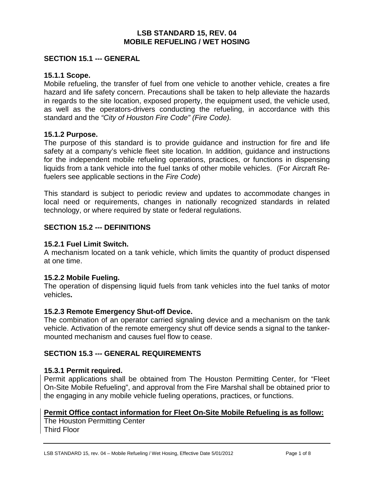#### **LSB STANDARD 15, REV. 04 MOBILE REFUELING / WET HOSING**

#### <span id="page-3-0"></span>**SECTION 15.1 --- GENERAL**

#### <span id="page-3-1"></span>**15.1.1 Scope.**

Mobile refueling, the transfer of fuel from one vehicle to another vehicle, creates a fire hazard and life safety concern. Precautions shall be taken to help alleviate the hazards in regards to the site location, exposed property, the equipment used, the vehicle used, as well as the operators-drivers conducting the refueling, in accordance with this standard and the *"City of Houston Fire Code" (Fire Code).*

# <span id="page-3-2"></span>**15.1.2 Purpose.**

The purpose of this standard is to provide guidance and instruction for fire and life safety at a company's vehicle fleet site location. In addition, guidance and instructions for the independent mobile refueling operations, practices, or functions in dispensing liquids from a tank vehicle into the fuel tanks of other mobile vehicles. (For Aircraft Refuelers see applicable sections in the *Fire Code*)

This standard is subject to periodic review and updates to accommodate changes in local need or requirements, changes in nationally recognized standards in related technology, or where required by state or federal regulations.

#### <span id="page-3-3"></span>**SECTION 15.2 --- DEFINITIONS**

# <span id="page-3-4"></span>**15.2.1 Fuel Limit Switch.**

A mechanism located on a tank vehicle, which limits the quantity of product dispensed at one time.

#### <span id="page-3-5"></span>**15.2.2 Mobile Fueling.**

The operation of dispensing liquid fuels from tank vehicles into the fuel tanks of motor vehicles**.**

#### **15.2.3 Remote Emergency Shut-off Device.**

The combination of an operator carried signaling device and a mechanism on the tank vehicle. Activation of the remote emergency shut off device sends a signal to the tankermounted mechanism and causes fuel flow to cease.

# <span id="page-3-6"></span>**SECTION 15.3 --- GENERAL REQUIREMENTS**

#### <span id="page-3-7"></span>**15.3.1 Permit required.**

Permit applications shall be obtained from The Houston Permitting Center, for "Fleet On-Site Mobile Refueling", and approval from the Fire Marshal shall be obtained prior to the engaging in any mobile vehicle fueling operations, practices, or functions.

# **Permit Office contact information for Fleet On-Site Mobile Refueling is as follow:**

The Houston Permitting Center Third Floor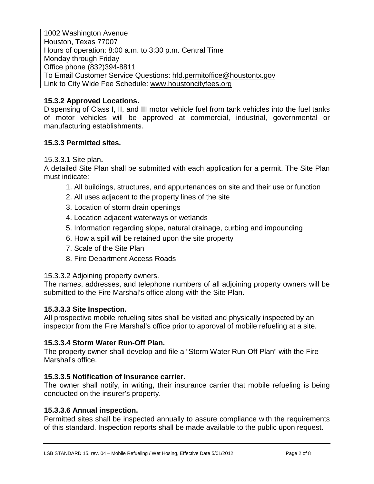1002 Washington Avenue Houston, Texas 77007 Hours of operation: 8:00 a.m. to 3:30 p.m. Central Time Monday through Friday Office phone (832)394-8811 To Email Customer Service Questions: [hfd.permitoffice@houstontx.gov](mailto:hfd.permitoffice@houstontx.gov) Link to City Wide Fee Schedule: [www.houstoncityfees.org](http://www.houstoncityfees.org/)

# <span id="page-4-0"></span>**15.3.2 Approved Locations.**

Dispensing of Class I, II, and III motor vehicle fuel from tank vehicles into the fuel tanks of motor vehicles will be approved at commercial, industrial, governmental or manufacturing establishments.

# <span id="page-4-1"></span>**15.3.3 Permitted sites.**

<span id="page-4-2"></span>15.3.3.1 Site plan**.**

A detailed Site Plan shall be submitted with each application for a permit. The Site Plan must indicate:

- 1. All buildings, structures, and appurtenances on site and their use or function
- 2. All uses adjacent to the property lines of the site
- 3. Location of storm drain openings
- 4. Location adjacent waterways or wetlands
- 5. Information regarding slope, natural drainage, curbing and impounding
- 6. How a spill will be retained upon the site property
- 7. Scale of the Site Plan
- 8. Fire Department Access Roads

# <span id="page-4-3"></span>15.3.3.2 Adjoining property owners.

The names, addresses, and telephone numbers of all adjoining property owners will be submitted to the Fire Marshal's office along with the Site Plan.

# <span id="page-4-4"></span>**15.3.3.3 Site Inspection.**

All prospective mobile refueling sites shall be visited and physically inspected by an inspector from the Fire Marshal's office prior to approval of mobile refueling at a site.

# <span id="page-4-5"></span>**15.3.3.4 Storm Water Run-Off Plan.**

The property owner shall develop and file a "Storm Water Run-Off Plan" with the Fire Marshal's office.

# <span id="page-4-6"></span>**15.3.3.5 Notification of Insurance carrier.**

The owner shall notify, in writing, their insurance carrier that mobile refueling is being conducted on the insurer's property.

# <span id="page-4-7"></span>**15.3.3.6 Annual inspection.**

Permitted sites shall be inspected annually to assure compliance with the requirements of this standard. Inspection reports shall be made available to the public upon request.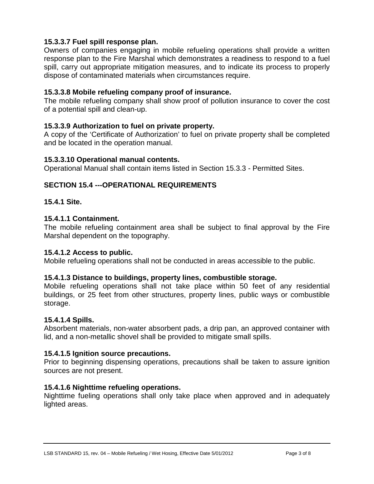# <span id="page-5-0"></span>**15.3.3.7 Fuel spill response plan.**

Owners of companies engaging in mobile refueling operations shall provide a written response plan to the Fire Marshal which demonstrates a readiness to respond to a fuel spill, carry out appropriate mitigation measures, and to indicate its process to properly dispose of contaminated materials when circumstances require.

# <span id="page-5-1"></span>**15.3.3.8 Mobile refueling company proof of insurance.**

The mobile refueling company shall show proof of pollution insurance to cover the cost of a potential spill and clean-up.

# <span id="page-5-2"></span>**15.3.3.9 Authorization to fuel on private property.**

A copy of the 'Certificate of Authorization' to fuel on private property shall be completed and be located in the operation manual.

#### <span id="page-5-3"></span>**15.3.3.10 Operational manual contents.**

Operational Manual shall contain items listed in Section 15.3.3 - Permitted Sites.

# <span id="page-5-4"></span>**SECTION 15.4 ---OPERATIONAL REQUIREMENTS**

# <span id="page-5-5"></span>**15.4.1 Site.**

# <span id="page-5-6"></span>**15.4.1.1 Containment.**

The mobile refueling containment area shall be subject to final approval by the Fire Marshal dependent on the topography.

#### <span id="page-5-7"></span>**15.4.1.2 Access to public.**

Mobile refueling operations shall not be conducted in areas accessible to the public.

# <span id="page-5-8"></span>**15.4.1.3 Distance to buildings, property lines, combustible storage.**

Mobile refueling operations shall not take place within 50 feet of any residential buildings, or 25 feet from other structures, property lines, public ways or combustible storage.

# <span id="page-5-9"></span>**15.4.1.4 Spills.**

Absorbent materials, non-water absorbent pads, a drip pan, an approved container with lid, and a non-metallic shovel shall be provided to mitigate small spills.

#### <span id="page-5-10"></span>**15.4.1.5 Ignition source precautions.**

Prior to beginning dispensing operations, precautions shall be taken to assure ignition sources are not present.

# <span id="page-5-11"></span>**15.4.1.6 Nighttime refueling operations.**

Nighttime fueling operations shall only take place when approved and in adequately lighted areas.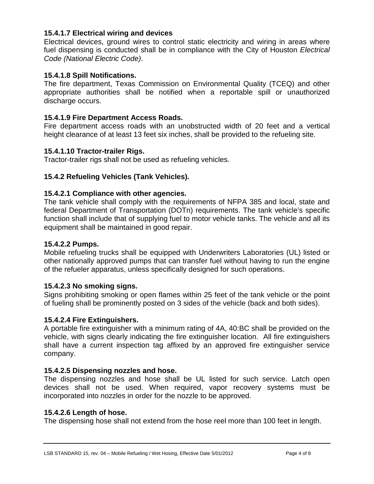# <span id="page-6-0"></span>**15.4.1.7 Electrical wiring and devices**

Electrical devices, ground wires to control static electricity and wiring in areas where fuel dispensing is conducted shall be in compliance with the City of Houston *Electrical Code (National Electric Code)*.

#### <span id="page-6-1"></span>**15.4.1.8 Spill Notifications.**

The fire department, Texas Commission on Environmental Quality (TCEQ) and other appropriate authorities shall be notified when a reportable spill or unauthorized discharge occurs.

#### <span id="page-6-2"></span>**15.4.1.9 Fire Department Access Roads.**

Fire department access roads with an unobstructed width of 20 feet and a vertical height clearance of at least 13 feet six inches, shall be provided to the refueling site.

#### <span id="page-6-3"></span>**15.4.1.10 Tractor-trailer Rigs.**

Tractor-trailer rigs shall not be used as refueling vehicles.

#### <span id="page-6-4"></span>**15.4.2 Refueling Vehicles (Tank Vehicles).**

#### <span id="page-6-5"></span>**15.4.2.1 Compliance with other agencies.**

The tank vehicle shall comply with the requirements of NFPA 385 and local, state and federal Department of Transportation (DOTn) requirements. The tank vehicle's specific function shall include that of supplying fuel to motor vehicle tanks. The vehicle and all its equipment shall be maintained in good repair.

#### <span id="page-6-6"></span>**15.4.2.2 Pumps.**

Mobile refueling trucks shall be equipped with Underwriters Laboratories (UL) listed or other nationally approved pumps that can transfer fuel without having to run the engine of the refueler apparatus, unless specifically designed for such operations.

#### <span id="page-6-7"></span>**15.4.2.3 No smoking signs.**

Signs prohibiting smoking or open flames within 25 feet of the tank vehicle or the point of fueling shall be prominently posted on 3 sides of the vehicle (back and both sides).

#### <span id="page-6-8"></span>**15.4.2.4 Fire Extinguishers.**

A portable fire extinguisher with a minimum rating of 4A, 40:BC shall be provided on the vehicle, with signs clearly indicating the fire extinguisher location. All fire extinguishers shall have a current inspection tag affixed by an approved fire extinguisher service company.

#### <span id="page-6-9"></span>**15.4.2.5 Dispensing nozzles and hose.**

The dispensing nozzles and hose shall be UL listed for such service. Latch open devices shall not be used. When required, vapor recovery systems must be incorporated into nozzles in order for the nozzle to be approved.

#### <span id="page-6-10"></span>**15.4.2.6 Length of hose.**

The dispensing hose shall not extend from the hose reel more than 100 feet in length.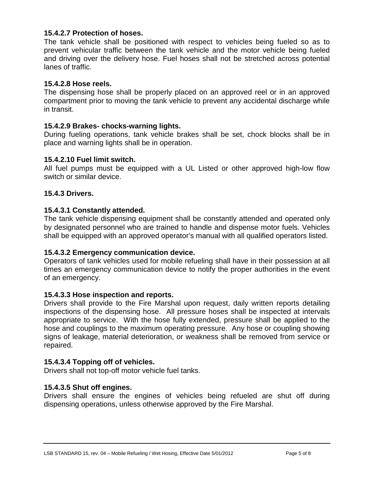# <span id="page-7-0"></span>**15.4.2.7 Protection of hoses.**

The tank vehicle shall be positioned with respect to vehicles being fueled so as to prevent vehicular traffic between the tank vehicle and the motor vehicle being fueled and driving over the delivery hose. Fuel hoses shall not be stretched across potential lanes of traffic.

#### <span id="page-7-1"></span>**15.4.2.8 Hose reels.**

The dispensing hose shall be properly placed on an approved reel or in an approved compartment prior to moving the tank vehicle to prevent any accidental discharge while in transit.

#### <span id="page-7-2"></span>**15.4.2.9 Brakes- chocks-warning lights.**

During fueling operations, tank vehicle brakes shall be set, chock blocks shall be in place and warning lights shall be in operation.

#### <span id="page-7-3"></span>**15.4.2.10 Fuel limit switch.**

All fuel pumps must be equipped with a UL Listed or other approved high-low flow switch or similar device.

#### <span id="page-7-4"></span>**15.4.3 Drivers.**

#### <span id="page-7-5"></span>**15.4.3.1 Constantly attended.**

The tank vehicle dispensing equipment shall be constantly attended and operated only by designated personnel who are trained to handle and dispense motor fuels. Vehicles shall be equipped with an approved operator's manual with all qualified operators listed.

#### <span id="page-7-6"></span>**15.4.3.2 Emergency communication device.**

Operators of tank vehicles used for mobile refueling shall have in their possession at all times an emergency communication device to notify the proper authorities in the event of an emergency.

#### <span id="page-7-7"></span>**15.4.3.3 Hose inspection and reports.**

Drivers shall provide to the Fire Marshal upon request, daily written reports detailing inspections of the dispensing hose. All pressure hoses shall be inspected at intervals appropriate to service. With the hose fully extended, pressure shall be applied to the hose and couplings to the maximum operating pressure. Any hose or coupling showing signs of leakage, material deterioration, or weakness shall be removed from service or repaired.

#### <span id="page-7-8"></span>**15.4.3.4 Topping off of vehicles.**

Drivers shall not top-off motor vehicle fuel tanks.

#### <span id="page-7-9"></span>**15.4.3.5 Shut off engines.**

Drivers shall ensure the engines of vehicles being refueled are shut off during dispensing operations, unless otherwise approved by the Fire Marshal.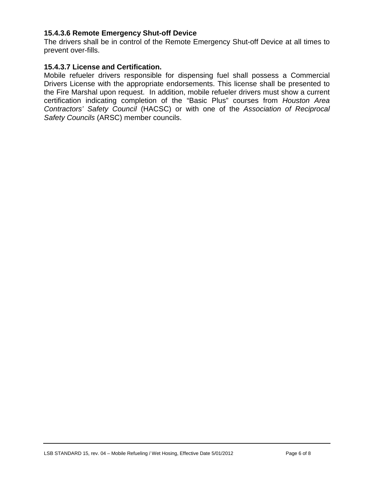# <span id="page-8-0"></span>**15.4.3.6 Remote Emergency Shut-off Device**

The drivers shall be in control of the Remote Emergency Shut-off Device at all times to prevent over-fills.

#### <span id="page-8-1"></span>**15.4.3.7 License and Certification.**

<span id="page-8-2"></span>Mobile refueler drivers responsible for dispensing fuel shall possess a Commercial Drivers License with the appropriate endorsements. This license shall be presented to the Fire Marshal upon request. In addition, mobile refueler drivers must show a current certification indicating completion of the "Basic Plus" courses from *Houston Area Contractors' Safety Council* (HACSC) or with one of the *Association of Reciprocal Safety Councils* (ARSC) member councils.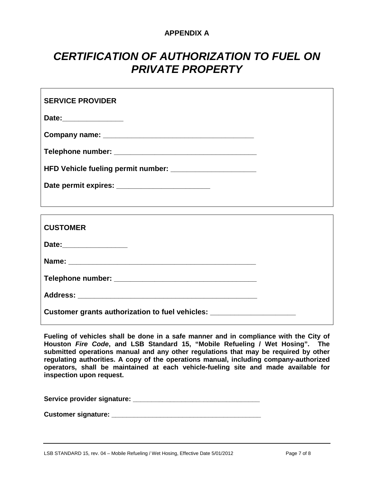# **APPENDIX A**

# *CERTIFICATION OF AUTHORIZATION TO FUEL ON PRIVATE PROPERTY*

| <b>SERVICE PROVIDER</b>            |  |
|------------------------------------|--|
| Date:_______________               |  |
|                                    |  |
|                                    |  |
| HFD Vehicle fueling permit number: |  |
|                                    |  |
|                                    |  |

| <b>CUSTOMER</b>                                                                  |  |
|----------------------------------------------------------------------------------|--|
| Date:_________________                                                           |  |
|                                                                                  |  |
|                                                                                  |  |
|                                                                                  |  |
| Customer grants authorization to fuel vehicles: ________________________________ |  |

**Fueling of vehicles shall be done in a safe manner and in compliance with the City of Houston** *Fire Code***, and LSB Standard 15, "Mobile Refueling / Wet Hosing". The submitted operations manual and any other regulations that may be required by other regulating authorities. A copy of the operations manual, including company-authorized operators, shall be maintained at each vehicle-fueling site and made available for inspection upon request.**

**Service provider signature: \_\_\_\_\_\_\_\_\_\_\_\_\_\_\_\_\_\_\_\_\_\_\_\_\_\_\_\_\_\_\_\_\_\_**

**Customer signature:**  $\blacksquare$